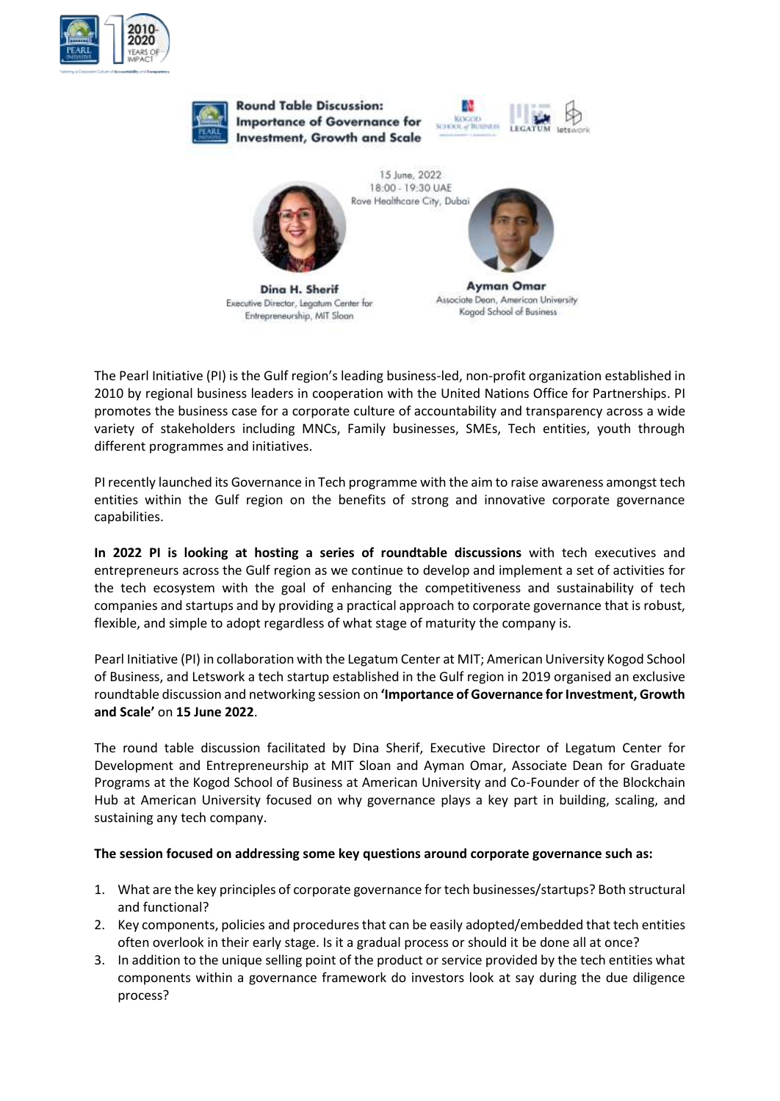



The Pearl Initiative (PI) is the Gulf region's leading business-led, non-profit organization established in 2010 by regional business leaders in cooperation with the United Nations Office for Partnerships. PI promotes the business case for a corporate culture of accountability and transparency across a wide variety of stakeholders including MNCs, Family businesses, SMEs, Tech entities, youth through different programmes and initiatives.

PI recently launched its Governance in Tech programme with the aim to raise awareness amongst tech entities within the Gulf region on the benefits of strong and innovative corporate governance capabilities.

**In 2022 PI is looking at hosting a series of roundtable discussions** with tech executives and entrepreneurs across the Gulf region as we continue to develop and implement a set of activities for the tech ecosystem with the goal of enhancing the competitiveness and sustainability of tech companies and startups and by providing a practical approach to corporate governance that is robust, flexible, and simple to adopt regardless of what stage of maturity the company is.

Pearl Initiative (PI) in collaboration with the Legatum Center at MIT; American University Kogod School of Business, and Letswork a tech startup established in the Gulf region in 2019 organised an exclusive roundtable discussion and networking session on **'Importance of Governance for Investment, Growth and Scale'** on **15 June 2022**.

The round table discussion facilitated by Dina Sherif, Executive Director of Legatum Center for Development and Entrepreneurship at MIT Sloan and Ayman Omar, Associate Dean for Graduate Programs at the Kogod School of Business at American University and Co-Founder of the Blockchain Hub at American University focused on why governance plays a key part in building, scaling, and sustaining any tech company.

## **The session focused on addressing some key questions around corporate governance such as:**

- 1. What are the key principles of corporate governance for tech businesses/startups? Both structural and functional?
- 2. Key components, policies and procedures that can be easily adopted/embedded that tech entities often overlook in their early stage. Is it a gradual process or should it be done all at once?
- 3. In addition to the unique selling point of the product or service provided by the tech entities what components within a governance framework do investors look at say during the due diligence process?